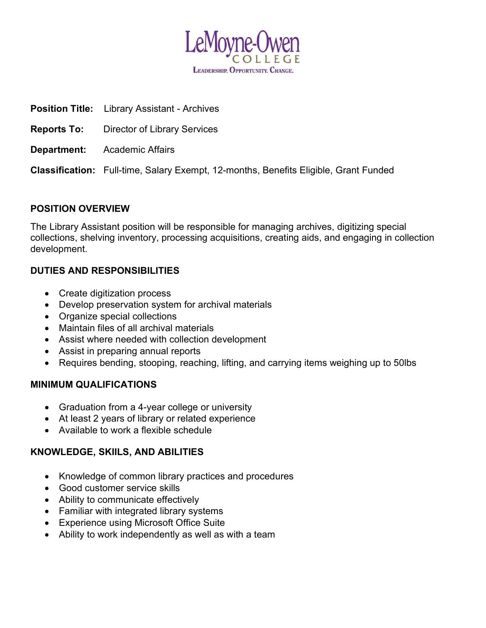

| <b>Position Title:</b> Library Assistant - Archives                                         |
|---------------------------------------------------------------------------------------------|
| <b>Reports To:</b> Director of Library Services                                             |
| <b>Department:</b> Academic Affairs                                                         |
| <b>Classification:</b> Full-time, Salary Exempt, 12-months, Benefits Eligible, Grant Funded |
|                                                                                             |

## POSITION OVERVIEW

The Library Assistant position will be responsible for managing archives, digitizing special collections, shelving inventory, processing acquisitions, creating aids, and engaging in collection development.

## DUTIES AND RESPONSIBILITIES

- Create digitization process
- Develop preservation system for archival materials
- Organize special collections
- Maintain files of all archival materials
- Assist where needed with collection development
- Assist in preparing annual reports
- Requires bending, stooping, reaching, lifting, and carrying items weighing up to 50lbs

#### MINIMUM QUALIFICATIONS

- Graduation from a 4-year college or university
- At least 2 years of library or related experience
- Available to work a flexible schedule

## KNOWLEDGE, SKIILS, AND ABILITIES

- Knowledge of common library practices and procedures
- Good customer service skills
- Ability to communicate effectively
- Familiar with integrated library systems
- Experience using Microsoft Office Suite
- Ability to work independently as well as with a team